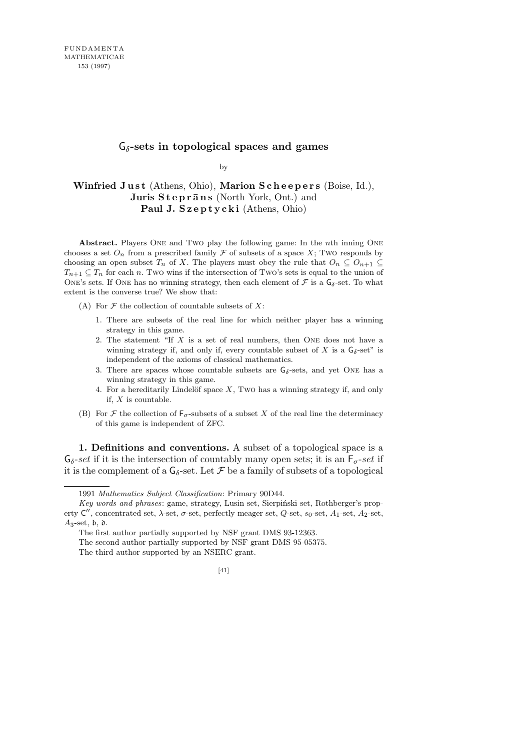## G*δ***-sets in topological spaces and games**

by

## Winfried Just (Athens, Ohio), Marion Scheepers (Boise, Id.), **Juris Steprāns** (North York, Ont.) and Paul J. Szeptycki (Athens, Ohio)

**Abstract.** Players One and Two play the following game: In the *n*th inning One chooses a set  $O_n$  from a prescribed family  $\mathcal F$  of subsets of a space X; Two responds by choosing an open subset *T<sub>n</sub>* of *X*. The players must obey the rule that  $O_n \subseteq O_{n+1} \subseteq$  $T_{n+1} \subseteq T_n$  for each *n*. Two wins if the intersection of Two's sets is equal to the union of ONE's sets. If ONE has no winning strategy, then each element of  $\mathcal F$  is a  $G_\delta$ -set. To what extent is the converse true? We show that:

(A) For *F* the collection of countable subsets of *X*:

- 1. There are subsets of the real line for which neither player has a winning strategy in this game.
- 2. The statement "If *X* is a set of real numbers, then One does not have a winning strategy if, and only if, every countable subset of *X* is a  $G_{\delta}$ -set" is independent of the axioms of classical mathematics.
- 3. There are spaces whose countable subsets are  $G_{\delta}$ -sets, and yet ONE has a winning strategy in this game.
- 4. For a hereditarily Lindelöf space  $X$ , Two has a winning strategy if, and only if, *X* is countable.
- (B) For  $\mathcal F$  the collection of  $\mathsf F_\sigma$ -subsets of a subset  $X$  of the real line the determinacy of this game is independent of ZFC.

**1. Definitions and conventions.** A subset of a topological space is a  $G_{\delta}$ -*set* if it is the intersection of countably many open sets; it is an  $F_{\sigma}$ -*set* if it is the complement of a  $G_{\delta}$ -set. Let  $\mathcal F$  be a family of subsets of a topological

<sup>1991</sup> *Mathematics Subject Classification*: Primary 90D44.

*Key words and phrases*: game, strategy, Lusin set, Sierpiński set, Rothberger's property  $C''$ , concentrated set, *λ*-set, *σ*-set, perfectly meager set, *Q*-set, *s*<sub>0</sub>-set, *A*<sub>1</sub>-set, *A*<sub>2</sub>-set,  $A_3$ -set,  $\mathfrak b$ ,  $\mathfrak d$ .

The first author partially supported by NSF grant DMS 93-12363.

The second author partially supported by NSF grant DMS 95-05375.

The third author supported by an NSERC grant.

<sup>[41]</sup>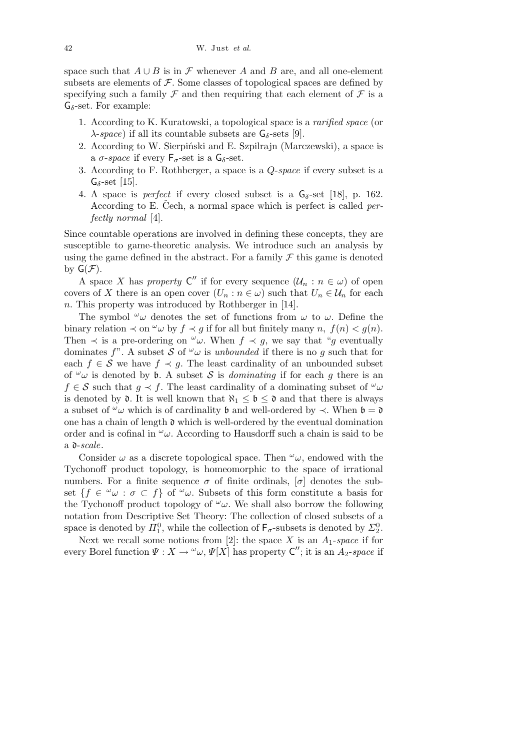space such that  $A \cup B$  is in  $\mathcal F$  whenever  $A$  and  $B$  are, and all one-element subsets are elements of  $F$ . Some classes of topological spaces are defined by specifying such a family  $\mathcal F$  and then requiring that each element of  $\mathcal F$  is a G*δ*-set. For example:

- 1. According to K. Kuratowski, a topological space is a *rarified space* (or  $\lambda$ -*space*) if all its countable subsets are  $G_{\delta}$ -sets [9].
- 2. According to W. Sierpiński and E. Szpilrajn (Marczewski), a space is a  $\sigma$ -*space* if every  $F_{\sigma}$ -set is a  $G_{\delta}$ -set.
- 3. According to F. Rothberger, a space is a *Q*-*space* if every subset is a  $G_{\delta}$ -set [15].
- 4. A space is *perfect* if every closed subset is a G*δ*-set [18], p. 162. According to E. Čech, a normal space which is perfect is called *perfectly normal* [4].

Since countable operations are involved in defining these concepts, they are susceptible to game-theoretic analysis. We introduce such an analysis by using the game defined in the abstract. For a family  $\mathcal F$  this game is denoted by  $G(\mathcal{F})$ .

A space *X* has *property*  $C''$  if for every sequence  $(\mathcal{U}_n : n \in \omega)$  of open covers of *X* there is an open cover  $(U_n : n \in \omega)$  such that  $U_n \in \mathcal{U}_n$  for each *n*. This property was introduced by Rothberger in [14].

The symbol  $\omega$  denotes the set of functions from  $\omega$  to  $\omega$ . Define the binary relation  $\prec$  on  $\omega$  by  $f \prec g$  if for all but finitely many *n*,  $f(n) < g(n)$ . Then  $\prec$  is a pre-ordering on  $\omega$ . When  $f \prec g$ , we say that "*g* eventually dominates *f*". A subset *S* of  $\omega$ *w* is *unbounded* if there is no *g* such that for each  $f \in S$  we have  $f \prec g$ . The least cardinality of an unbounded subset of  $\omega$  is denoted by **b**. A subset *S* is *dominating* if for each *g* there is an  $f \in S$  such that  $g \prec f$ . The least cardinality of a dominating subset of  $\omega$ is denoted by  $\mathfrak{d}$ . It is well known that  $\aleph_1 \leq \mathfrak{b} \leq \mathfrak{d}$  and that there is always a subset of  $\omega$ *w* which is of cardinality **b** and well-ordered by  $\prec$ . When **b** = **0** one has a chain of length  $\mathfrak d$  which is well-ordered by the eventual domination order and is cofinal in  $\omega$ . According to Hausdorff such a chain is said to be a d-*scale*.

Consider  $\omega$  as a discrete topological space. Then  $\omega$ , endowed with the Tychonoff product topology, is homeomorphic to the space of irrational numbers. For a finite sequence  $\sigma$  of finite ordinals,  $[\sigma]$  denotes the subset  $\{f \in \omega \omega : \sigma \subset f\}$  of  $\omega$ . Subsets of this form constitute a basis for the Tychonoff product topology of  $\omega$ . We shall also borrow the following notation from Descriptive Set Theory: The collection of closed subsets of a space is denoted by  $\mathbb{Z}_1^0$ , while the collection of  $\mathsf{F}_{\sigma}$ -subsets is denoted by  $\mathbb{Z}_2^0$ .

Next we recall some notions from [2]: the space *X* is an  $A_1$ -space if for every Borel function  $\Psi: X \to {}^{\omega}\omega, \Psi[X]$  has property  $C''$ ; it is an  $A_2$ -*space* if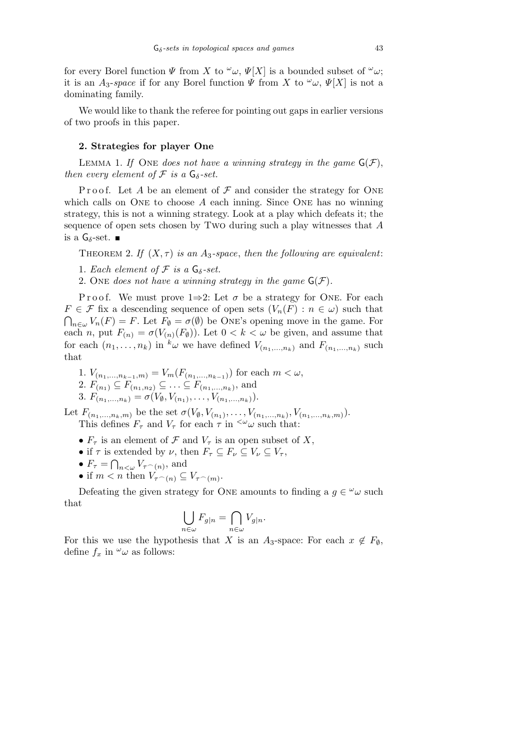for every Borel function  $\Psi$  from  $X$  to  $\omega$ ,  $\Psi[X]$  is a bounded subset of  $\omega$ ; it is an  $A_3$ -*space* if for any Borel function  $\Psi$  from  $X$  to  $\omega$ ,  $\Psi[X]$  is not a dominating family.

We would like to thank the referee for pointing out gaps in earlier versions of two proofs in this paper.

## **2. Strategies for player One**

LEMMA 1. If ONE *does not have a winning strategy in the game*  $G(\mathcal{F})$ . *then every element of*  $\mathcal F$  *is a*  $G_{\delta}$ -set.

Proof. Let  $A$  be an element of  $\mathcal F$  and consider the strategy for ONE which calls on ONE to choose *A* each inning. Since ONE has no winning strategy, this is not a winning strategy. Look at a play which defeats it; the sequence of open sets chosen by Two during such a play witnesses that *A* is a  $G$ <sup> $δ$ </sup>-set. ■

THEOREM 2. If  $(X, \tau)$  is an A<sub>3</sub>-space, then the following are equivalent:

1. *Each element of*  $\mathcal F$  *is a*  $G_{\delta}$ -set.

2. One *does not have a winning strategy in the game*  $G(\mathcal{F})$ *.* 

Proof. We must prove  $1\Rightarrow 2$ : Let  $\sigma$  be a strategy for ONE. For each  $F \in \mathcal{F}$  fix a descending sequence of open sets  $(V_n(F) : n \in \omega)$  such that  $V_n \in W_n(F) = F$ . Let  $F_\emptyset = \sigma(\emptyset)$  be One's opening move in the game. For each *n*, put  $F_{(n)} = \sigma(V_{(n)}(F_{\emptyset}))$ . Let  $0 < k < \omega$  be given, and assume that for each  $(n_1, \ldots, n_k)$  in  $^k\omega$  we have defined  $V_{(n_1,\ldots,n_k)}$  and  $F_{(n_1,\ldots,n_k)}$  such that

1.  $V_{(n_1,...,n_{k-1},m)} = V_m(F_{(n_1,...,n_{k-1})})$  for each  $m < \omega$ , 2.  $F_{(n_1)} \subseteq F_{(n_1,n_2)} \subseteq \ldots \subseteq F_{(n_1,...,n_k)}$ , and 3.  $F_{(n_1,...,n_k)} = \sigma(V_{\emptyset}, V_{(n_1)},..., V_{(n_1,...,n_k)}).$ 

Let  $F_{(n_1,...,n_k,m)}$  be the set  $\sigma(V_{\emptyset}, V_{(n_1)},..., V_{(n_1,...,n_k)}, V_{(n_1,...,n_k,m)}).$ This defines  $F_{\tau}$  and  $V_{\tau}$  for each  $\tau$  in  $\zeta_{\omega}$  such that:

- $F_{\tau}$  is an element of  $\mathcal F$  and  $V_{\tau}$  is an open subset of X,
- if  $\tau$  is extended by *ν*, then  $F_{\tau} \subseteq F_{\nu} \subseteq V_{\nu} \subseteq V_{\tau}$ ,
- $F_{\tau} = \bigcap_{n < \omega} V_{\tau}(n)}$ , and
- if  $m < n$  then  $V_{\tau(n)} \subseteq V_{\tau(n)}$ .

Defeating the given strategy for ONE amounts to finding a  $g \in \omega$  such that  $\mathbf{r}$  $\sim$ 

$$
\bigcup_{n\in\omega}F_{g|n}=\bigcap_{n\in\omega}V_{g|n}.
$$

For this we use the hypothesis that *X* is an  $A_3$ -space: For each  $x \notin F_\emptyset$ , define  $f_x$  in  $\omega$  as follows: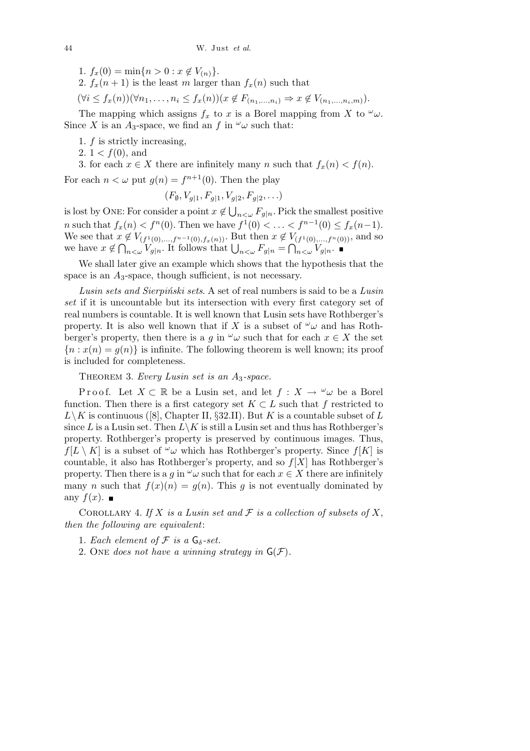- 1.  $f_x(0) = \min\{n > 0 : x \notin V_{(n)}\}.$
- 2.  $f_x(n+1)$  is the least *m* larger than  $f_x(n)$  such that
- $(\forall i \leq f_x(n))(\forall n_1,\ldots,n_i \leq f_x(n))(x \notin F_{(n_1,\ldots,n_i)} \Rightarrow x \notin V_{(n_1,\ldots,n_i,m)}).$

The mapping which assigns  $f_x$  to *x* is a Borel mapping from *X* to  $\omega$ . Since *X* is an *A*<sub>3</sub>-space, we find an *f* in  $\omega$ *w* such that:

- 1. *f* is strictly increasing,
- 2.  $1 < f(0)$ , and

3. for each  $x \in X$  there are infinitely many *n* such that  $f_x(n) < f(n)$ . For each  $n < \omega$  put  $g(n) = f^{n+1}(0)$ . Then the play

$$
(F_{\emptyset}, V_{g|1}, F_{g|1}, V_{g|2}, F_{g|2}, \ldots)
$$

is lost by ONE: For consider a point  $x \notin$  $F_{g|n}$ . Pick the smallest positive *n* such that  $f_x(n) < f^n(0)$ . Then we have  $f^1(0) < \ldots < f^{n-1}(0) \le f_x(n-1)$ . We see that  $x \notin V_{(f^1(0),...,f^{n-1}(0),f_x(n))}$ . But then  $x \notin V_{(f^1(0),...,f^n(0))}$ , and so we see that  $x \notin V(f^1(0),...,f^{n-1}(0),f_x(n))$ . But then  $x \notin V(f^1(0),...,f^n)$ <br>we have  $x \notin \bigcap_{n<\omega} V_{g|n}$ . It follows that  $\bigcup_{n<\omega} F_{g|n} = \bigcap_{n<\omega} V_{g|n}$ .

We shall later give an example which shows that the hypothesis that the space is an  $A_3$ -space, though sufficient, is not necessary.

*Lusin sets and Sierpiński sets*. A set of real numbers is said to be a *Lusin set* if it is uncountable but its intersection with every first category set of real numbers is countable. It is well known that Lusin sets have Rothberger's property. It is also well known that if *X* is a subset of  $\omega_{\omega}$  and has Rothberger's property, then there is a *g* in  $\omega$ *w* such that for each  $x \in X$  the set  ${n : x(n) = g(n)}$  is infinite. The following theorem is well known; its proof is included for completeness.

Theorem 3. *Every Lusin set is an A*3*-space.*

Proof. Let  $X \subset \mathbb{R}$  be a Lusin set, and let  $f: X \to \omega$  be a Borel function. Then there is a first category set  $K \subset L$  such that  $f$  restricted to  $L\backslash K$  is continuous ([8], Chapter II, *§*32.II). But *K* is a countable subset of *L* since *L* is a Lusin set. Then  $L\backslash K$  is still a Lusin set and thus has Rothberger's property. Rothberger's property is preserved by continuous images. Thus,  $f(L \setminus K)$  is a subset of  $\omega$ *w* which has Rothberger's property. Since  $f[K]$  is countable, it also has Rothberger's property, and so *f*[*X*] has Rothberger's property. Then there is a *q* in  $\omega$ *w* such that for each  $x \in X$  there are infinitely many *n* such that  $f(x)(n) = g(n)$ . This *g* is not eventually dominated by any  $f(x)$ .

COROLLARY 4. If  $X$  is a Lusin set and  $\mathcal F$  is a collection of subsets of  $X$ , *then the following are equivalent*:

- 1. *Each element of*  $\mathcal F$  *is a*  $G_{\delta}$ -set.
- 2. One *does not have a winning strategy in*  $G(\mathcal{F})$ *.*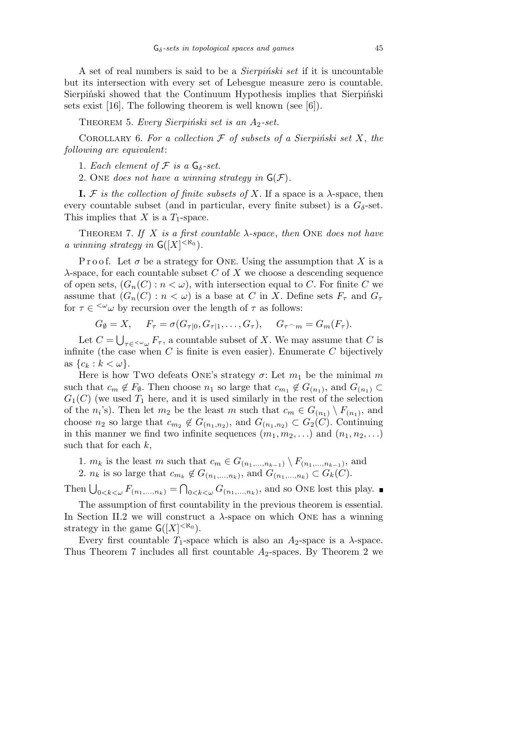A set of real numbers is said to be a *Sierpiński set* if it is uncountable but its intersection with every set of Lebesgue measure zero is countable. Sierpiński showed that the Continuum Hypothesis implies that Sierpiński sets exist [16]. The following theorem is well known (see [6]).

THEOREM 5. *Every Sierpiński set is an A*<sub>2</sub>-set.

COROLLARY 6. For a collection  $F$  of subsets of a Sierpiński set  $X$ , the *following are equivalent*:

1. *Each element of*  $\mathcal F$  *is a*  $\mathsf{G}_{\delta}$ -set.

2. One *does not have a winning strategy in*  $G(\mathcal{F})$ .

**I.**  $F$  is the collection of finite subsets of  $X$ . If a space is a  $\lambda$ -space, then every countable subset (and in particular, every finite subset) is a  $G_{\delta}$ -set. This implies that *X* is a *T*1-space.

Theorem 7. *If X is a first countable λ-space*, *then* One *does not have a winning strategy in*  $G([X]^{<\aleph_0})$ *.* 

Proof. Let  $\sigma$  be a strategy for ONE. Using the assumption that *X* is a *λ*-space, for each countable subset *C* of *X* we choose a descending sequence of open sets,  $(G_n(C): n < \omega)$ , with intersection equal to C. For finite C we assume that  $(G_n(C) : n < \omega)$  is a base at *C* in *X*. Define sets  $F_\tau$  and  $G_\tau$ for  $\tau \in \langle \omega \omega \rangle$  by recursion over the length of  $\tau$  as follows:

$$
G_{\emptyset} = X, \quad F_{\tau} = \sigma(G_{\tau|0}, G_{\tau|1}, \dots, G_{\tau}), \quad G_{\tau \frown m} = G_m(F_{\tau}).
$$

Let  $C =$  $\tau \in \langle K \rangle$ *u*  $F_{\tau}$ , a countable subset of *X*. We may assume that *C* is infinite (the case when  $C$  is finite is even easier). Enumerate  $C$  bijectively as  $\{c_k : k < \omega\}.$ 

Here is how Two defeats ONE's strategy  $\sigma$ : Let  $m_1$  be the minimal  $m$ such that  $c_m \notin F_\emptyset$ . Then choose  $n_1$  so large that  $c_{m_1} \notin G_{(n_1)}$ , and  $G_{(n_1)} \subset$  $G_1(C)$  (we used  $T_1$  here, and it is used similarly in the rest of the selection of the *n*<sup>*i*</sup>'s). Then let *m*<sub>2</sub> be the least *m* such that  $c_m \in G_{(n_1)} \setminus F_{(n_1)}$ , and choose  $n_2$  so large that  $c_{m_2} \notin G_{(n_1,n_2)}$ , and  $G_{(n_1,n_2)} \subset G_2(C)$ . Continuing in this manner we find two infinite sequences  $(m_1, m_2, \ldots)$  and  $(n_1, n_2, \ldots)$ such that for each *k*,

1. *m<sub>k</sub>* is the least *m* such that  $c_m \in G_{(n_1,\ldots,n_{k-1})} \setminus F_{(n_1,\ldots,n_{k-1})}$ , and

2. *n<sub>k</sub>* is so large that  $c_{m_k} \notin G_{(n_1,\ldots,n_k)}$ , and  $G_{(n_1,\ldots,n_k)} \subset G_k(C)$ .  $\tilde{\zeta}$ 

Then  $\bigcup_{0 < k < \omega}^{\infty} F_{(n_1,...,n_k)} =$  $C_{0 \leq k \leq \omega} G_{(n_1,...,n_k)}$ , and so ONE lost this play.

The assumption of first countability in the previous theorem is essential. In Section II.2 we will construct a  $\lambda$ -space on which ONE has a winning strategy in the game  $G([X]^{<\aleph_0})$ .

Every first countable  $T_1$ -space which is also an  $A_2$ -space is a  $\lambda$ -space. Thus Theorem 7 includes all first countable *A*2-spaces. By Theorem 2 we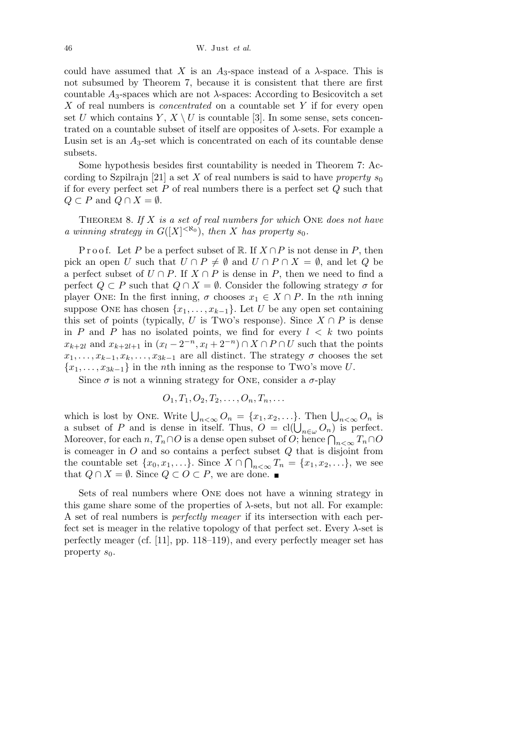could have assumed that *X* is an  $A_3$ -space instead of a  $\lambda$ -space. This is not subsumed by Theorem 7, because it is consistent that there are first countable  $A_3$ -spaces which are not  $\lambda$ -spaces: According to Besicovitch a set *X* of real numbers is *concentrated* on a countable set *Y* if for every open set *U* which contains  $Y, X \setminus U$  is countable [3]. In some sense, sets concentrated on a countable subset of itself are opposites of *λ*-sets. For example a Lusin set is an  $A_3$ -set which is concentrated on each of its countable dense subsets.

Some hypothesis besides first countability is needed in Theorem 7: According to Szpilrajn [21] a set X of real numbers is said to have *property*  $s_0$ if for every perfect set *P* of real numbers there is a perfect set *Q* such that *Q* ⊂ *P* and  $Q \cap X = ∅$ .

Theorem 8. *If X is a set of real numbers for which* One *does not have a* winning strategy in  $G([X]^{<\aleph_0})$ , then *X* has property  $s_0$ .

Proof. Let *P* be a perfect subset of R. If  $X \cap P$  is not dense in *P*, then pick an open *U* such that  $U \cap P \neq \emptyset$  and  $U \cap P \cap X = \emptyset$ , and let *Q* be a perfect subset of  $U \cap P$ . If  $X \cap P$  is dense in  $P$ , then we need to find a perfect  $Q \subset P$  such that  $Q \cap X = \emptyset$ . Consider the following strategy  $\sigma$  for player ONE: In the first inning,  $\sigma$  chooses  $x_1 \in X \cap P$ . In the *n*th inning suppose ONE has chosen  $\{x_1, \ldots, x_{k-1}\}$ . Let *U* be any open set containing this set of points (typically, *U* is Two's response). Since  $X \cap P$  is dense in *P* and *P* has no isolated points, we find for every  $l < k$  two points *x*<sub>*k*+2</sub>*l* and  $x_{k+2l+1}$  in  $(x_l - 2^{-n}, x_l + 2^{-n}) \cap X \cap P \cap U$  such that the points  $x_1, \ldots, x_{k-1}, x_k, \ldots, x_{3k-1}$  are all distinct. The strategy  $\sigma$  chooses the set *{x*1*, . . . , x*3*k−*1*}* in the *n*th inning as the response to Two's move *U*.

Since  $\sigma$  is not a winning strategy for ONE, consider a  $\sigma$ -play

$$
O_1, T_1, O_2, T_2, \ldots, O_n, T_n, \ldots
$$

which is lost by ONE. Write  $\bigcup_{n<\infty} O_n = \{x_1, x_2, \ldots\}$ . Then  $\bigcup_{n<\infty} O_n$  is which is lost by ONE. Write  $\bigcup_{n<\infty} O_n = \{x_1, x_2, \ldots\}$ . Then  $\bigcup_{n<\infty} O_n$  is a subset of *P* and is dense in itself. Thus,  $O = cl(\bigcup_{n\in\omega} O_n)$  is perfect. a subset of *P* and is dense in itsen. Thus,  $O = \text{Cl}(\bigcup_{n \in \omega} O_n)$  is perfect.<br>Moreover, for each  $n, T_n \cap O$  is a dense open subset of *O*; hence  $\bigcap_{n < \infty} T_n \cap O$ is comeager in  $O$  and so contains a perfect subset  $Q$  that is disjoint from the countable set  $\{x_0, x_1, \ldots\}$ . Since  $X \cap \bigcap_{n < \infty} T_n = \{x_1, x_2, \ldots\}$ , we see that  $Q \cap X = ∅$ . Since  $Q \subset O \subset P$ , we are done. ■

Sets of real numbers where One does not have a winning strategy in this game share some of the properties of  $\lambda$ -sets, but not all. For example: A set of real numbers is *perfectly meager* if its intersection with each perfect set is meager in the relative topology of that perfect set. Every  $\lambda$ -set is perfectly meager (cf. [11], pp. 118–119), and every perfectly meager set has property  $s_0$ .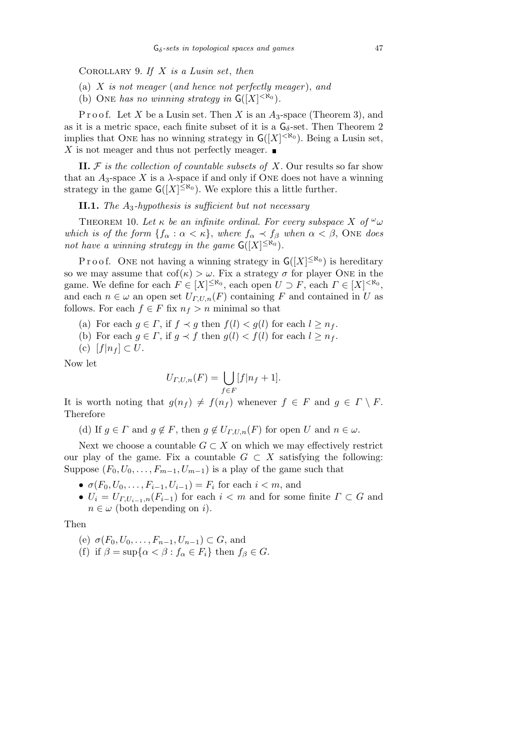Corollary 9. *If X is a Lusin set*, *then*

- (a) *X is not meager* (*and hence not perfectly meager* ), *and*
- (b) ONE has no winning strategy in  $G([X]^{<\aleph_0})$ .

P r o o f. Let *X* be a Lusin set. Then *X* is an  $A_3$ -space (Theorem 3), and as it is a metric space, each finite subset of it is a  $G_{\delta}$ -set. Then Theorem 2 implies that ONE has no winning strategy in  $G([X]^{<\aleph_0})$ . Being a Lusin set, *X* is not meager and thus not perfectly meager.  $\blacksquare$ 

**II.**  $F$  is the collection of countable subsets of  $X$ . Our results so far show that an  $A_3$ -space  $X$  is a  $\lambda$ -space if and only if ONE does not have a winning strategy in the game  $G([X]^{\leq \aleph_0})$ . We explore this a little further.

**II.1.** *The A*3*-hypothesis is sufficient but not necessary*

THEOREM 10. Let  $\kappa$  be an infinite ordinal. For every subspace X of  $\omega_{\omega}$ *which is of the form*  ${f_\alpha : \alpha < \kappa}$ , *where*  $f_\alpha \prec f_\beta$  *when*  $\alpha < \beta$ , ONE *does not have a winning strategy in the game*  $G([X]^{\leq \aleph_0})$ *.* 

P r o o f. ONE not having a winning strategy in  $G([X]^{\leq \aleph_0})$  is hereditary so we may assume that  $\text{cof}(\kappa) > \omega$ . Fix a strategy  $\sigma$  for player ONE in the game. We define for each  $F \in [X]^{\leq \aleph_0}$ , each open  $U \supset F$ , each  $\Gamma \in [X]^{\leq \aleph_0}$ , and each  $n \in \omega$  an open set  $U_{\Gamma,U,n}(F)$  containing *F* and contained in *U* as follows. For each  $f \in F$  fix  $n_f > n$  minimal so that

- (a) For each  $g \in \Gamma$ , if  $f \prec g$  then  $f(l) \prec g(l)$  for each  $l \geq n_f$ .
- (b) For each  $g \in \Gamma$ , if  $g \prec f$  then  $g(l) \prec f(l)$  for each  $l \geq n_f$ .
- (c)  $[f|n_f]$  ⊂ *U*.

Now let

$$
U_{\Gamma,U,n}(F) = \bigcup_{f \in F} [f|n_f+1].
$$

It is worth noting that  $g(n_f) \neq f(n_f)$  whenever  $f \in F$  and  $g \in \Gamma \setminus F$ . Therefore

(d) If  $g \in \Gamma$  and  $g \notin F$ , then  $g \notin U_{\Gamma,U,n}(F)$  for open *U* and  $n \in \omega$ .

Next we choose a countable  $G \subset X$  on which we may effectively restrict our play of the game. Fix a countable  $G \subset X$  satisfying the following: Suppose  $(F_0, U_0, \ldots, F_{m-1}, U_{m-1})$  is a play of the game such that

- $\sigma(F_0, U_0, \ldots, F_{i-1}, U_{i-1}) = F_i$  for each  $i < m$ , and
- $U_i = U_{\Gamma,U_{i-1},n}(F_{i-1})$  for each  $i < m$  and for some finite  $\Gamma \subset G$  and  $n \in \omega$  (both depending on *i*).

Then

- (e)  $\sigma(F_0, U_0, \ldots, F_{n-1}, U_{n-1}) \subset G$ , and
- (f) if  $\beta = \sup\{\alpha < \beta : f_\alpha \in F_i\}$  then  $f_\beta \in G$ .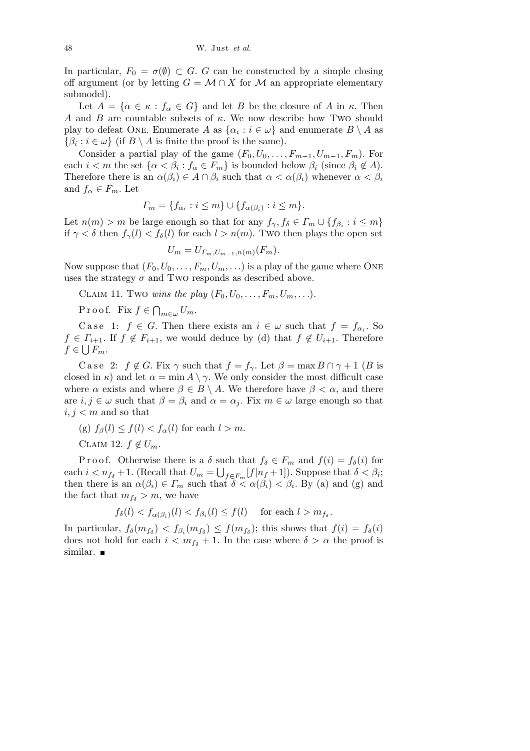In particular,  $F_0 = \sigma(\emptyset) \subset G$ . *G* can be constructed by a simple closing off argument (or by letting  $G = \mathcal{M} \cap X$  for  $\mathcal{M}$  an appropriate elementary submodel).

Let  $A = \{ \alpha \in \kappa : f_\alpha \in G \}$  and let *B* be the closure of *A* in  $\kappa$ . Then *A* and *B* are countable subsets of *κ*. We now describe how Two should play to defeat ONE. Enumerate *A* as  $\{\alpha_i : i \in \omega\}$  and enumerate  $B \setminus A$  as  $\{\beta_i : i \in \omega\}$  (if *B* \ *A* is finite the proof is the same).

Consider a partial play of the game  $(F_0, U_0, \ldots, F_{m-1}, U_{m-1}, F_m)$ . For each  $i < m$  the set  $\{\alpha < \beta_i : f_\alpha \in F_m\}$  is bounded below  $\beta_i$  (since  $\beta_i \notin A$ ). Therefore there is an  $\alpha(\beta_i) \in A \cap \beta_i$  such that  $\alpha < \alpha(\beta_i)$  whenever  $\alpha < \beta_i$ and  $f_{\alpha} \in F_m$ . Let

$$
\Gamma_m = \{ f_{\alpha_i} : i \leq m \} \cup \{ f_{\alpha(\beta_i)} : i \leq m \}.
$$

Let  $n(m) > m$  be large enough so that for any  $f_{\gamma}, f_{\delta} \in \Gamma_m \cup \{f_{\beta_i} : i \leq m\}$ if  $\gamma < \delta$  then  $f_\gamma(l) < f_\delta(l)$  for each  $l > n(m)$ . Two then plays the open set

$$
U_m = U_{\Gamma_m, U_{m-1}, n(m)}(F_m).
$$

Now suppose that  $(F_0, U_0, \ldots, F_m, U_m, \ldots)$  is a play of the game where ONE uses the strategy  $\sigma$  and Two responds as described above.

CLAIM 11. Two *wins the play*  $(F_0, U_0, \ldots, F_m, U_m, \ldots)$ .

P r o o f. Fix *f ∈*  $\overline{a}$  $w_{m\in\omega}$ *U<sub>m</sub>*.

Case 1:  $f \in G$ . Then there exists an  $i \in \omega$  such that  $f = f_{\alpha_i}$ . So  $f \in \Gamma_{i+1}$ . If  $f \notin F_{i+1}$ , we would deduce by (d) that  $f \notin U_{i+1}$ . Therefore  $f \in \bigcup F_m$ .

C a se 2:  $f \notin G$ . Fix  $\gamma$  such that  $f = f_{\gamma}$ . Let  $\beta = \max B \cap \gamma + 1$  (*B* is closed in  $\kappa$ ) and let  $\alpha = \min A \setminus \gamma$ . We only consider the most difficult case where  $\alpha$  exists and where  $\beta \in B \setminus A$ . We therefore have  $\beta < \alpha$ , and there are  $i, j \in \omega$  such that  $\beta = \beta_i$  and  $\alpha = \alpha_j$ . Fix  $m \in \omega$  large enough so that  $i, j < m$  and so that

- (g)  $f_\beta(l) \leq f(l) < f_\alpha(l)$  for each  $l > m$ .
- CLAIM 12.  $f \notin U_m$ .

P r o o f. Otherwise there is a  $\delta$  such that  $f_{\delta} \in F_m$  and  $f(i) = f_{\delta}(i)$  for each  $i < n_{f_{\delta}} + 1$ . (Recall that  $U_m = \bigcup_{f \in F_m} [f|n_f + 1]$ ). Suppose that  $\delta < \beta_i$ ; then there is an  $\alpha(\beta_i) \in \Gamma_m$  such that  $\delta \leq \alpha(\beta_i) < \beta_i$ . By (a) and (g) and the fact that  $m_{f_{\delta}} > m$ , we have

$$
f_{\delta}(l) < f_{\alpha(\beta_i)}(l) < f_{\beta_i}(l) \le f(l) \quad \text{ for each } l > m_{f_{\delta}}.
$$

In particular,  $f_{\delta}(m_{f_{\delta}}) < f_{\beta_i}(m_{f_{\delta}}) \le f(m_{f_{\delta}})$ ; this shows that  $f(i) = f_{\delta}(i)$ does not hold for each  $i < m_{fs} + 1$ . In the case where  $\delta > \alpha$  the proof is similar.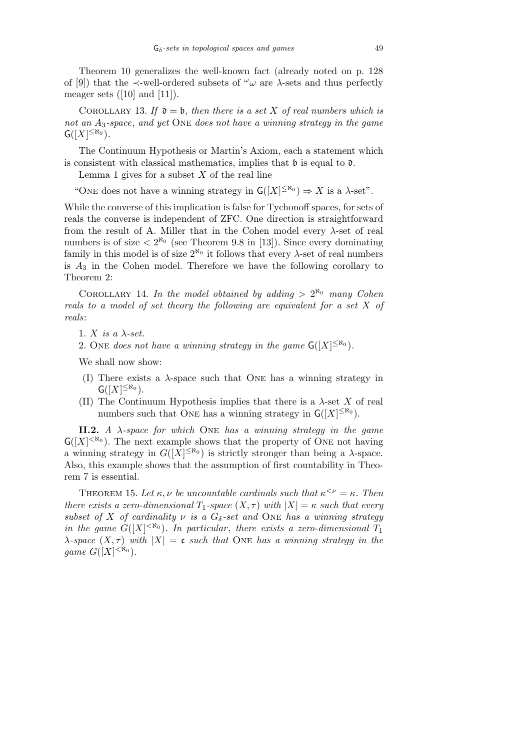Theorem 10 generalizes the well-known fact (already noted on p. 128 of [9]) that the  $\prec$ -well-ordered subsets of  $\omega$  are  $\lambda$ -sets and thus perfectly meager sets  $([10]$  and  $[11]$ ).

COROLLARY 13. If  $\mathfrak{d} = \mathfrak{b}$ , then there is a set X of real numbers which is *not an A*3*-space*, *and yet* One *does not have a winning strategy in the game*  $G([X]^{\leq \aleph_0}).$ 

The Continuum Hypothesis or Martin's Axiom, each a statement which is consistent with classical mathematics, implies that  $\mathfrak b$  is equal to  $\mathfrak d$ .

Lemma 1 gives for a subset *X* of the real line

"ONE does not have a winning strategy in  $G([X]^{\leq \aleph_0}) \Rightarrow X$  is a  $\lambda$ -set".

While the converse of this implication is false for Tychonoff spaces, for sets of reals the converse is independent of ZFC. One direction is straightforward from the result of A. Miller that in the Cohen model every *λ*-set of real numbers is of size  $\langle 2^{R_0} \rangle$  (see Theorem 9.8 in [13]). Since every dominating family in this model is of size  $2^{\aleph_0}$  it follows that every  $\lambda$ -set of real numbers is *A*<sup>3</sup> in the Cohen model. Therefore we have the following corollary to Theorem 2:

COROLLARY 14. In the model obtained by adding  $> 2^{\aleph_0}$  many Cohen *reals to a model of set theory the following are equivalent for a set X of reals*:

1.  $X$  *is a*  $\lambda$ -set.

2. One *does not have a winning strategy in the game*  $G([X]^{\leq \aleph_0})$ *.* 

We shall now show:

- (I) There exists a  $\lambda$ -space such that ONE has a winning strategy in  $G([X]^{\leq \aleph_0}).$
- (II) The Continuum Hypothesis implies that there is a  $\lambda$ -set X of real numbers such that ONE has a winning strategy in  $G([X]^{\leq \aleph_0})$ .

**II.2.** *A λ-space for which* One *has a winning strategy in the game*  $G([X]^{<\aleph_0})$ . The next example shows that the property of ONE not having a winning strategy in  $G([X]^{\leq \aleph_0})$  is strictly stronger than being a  $\lambda$ -space. Also, this example shows that the assumption of first countability in Theorem 7 is essential.

THEOREM 15. Let  $\kappa, \nu$  be uncountable cardinals such that  $\kappa^{\leq \nu} = \kappa$ . Then *there exists a zero-dimensional*  $T_1$ -space  $(X, \tau)$  with  $|X| = \kappa$  such that every *subset of X of cardinality*  $\nu$  *is a*  $G_{\delta}$ -set and ONE has a winning strategy *in the game*  $G([X]^{< \aleph_0})$ *. In particular, there exists a zero-dimensional*  $T_1$ *λ-space*  $(X, \tau)$  *with*  $|X| = \mathfrak{c}$  *such that* ONE *has a winning strategy in the game*  $G([X]^{<\aleph_0}).$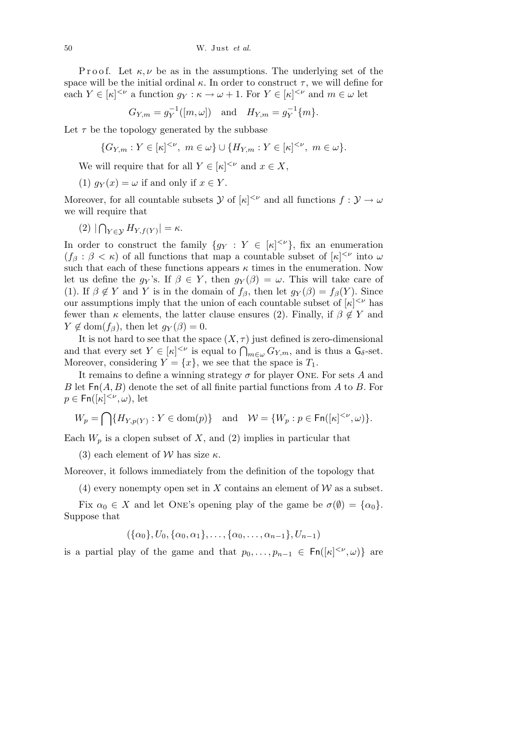Proof. Let  $\kappa, \nu$  be as in the assumptions. The underlying set of the space will be the initial ordinal  $\kappa$ . In order to construct  $\tau$ , we will define for each  $Y \in [\kappa]^{<\nu}$  a function  $g_Y : \kappa \to \omega + 1$ . For  $Y \in [\kappa]^{<\nu}$  and  $m \in \omega$  let

$$
G_{Y,m} = g_Y^{-1}([m,\omega])
$$
 and  $H_{Y,m} = g_Y^{-1}\{m\}.$ 

Let  $\tau$  be the topology generated by the subbase

$$
\{G_{Y,m}: Y \in [\kappa]^{<\nu}, \ m \in \omega\} \cup \{H_{Y,m}: Y \in [\kappa]^{<\nu}, \ m \in \omega\}.
$$

We will require that for all  $Y \in [\kappa]^{<\nu}$  and  $x \in X$ ,

(1)  $q_Y(x) = \omega$  if and only if  $x \in Y$ .

Moreover, for all countable subsets *Y* of  $[\kappa]^{<\nu}$  and all functions  $f : \mathcal{Y} \to \omega$ we will require that

(2) *|*  $\overline{a}$  $Y \in \mathcal{Y}$   $H_{Y,f(Y)}$   $| = \kappa$ .

In order to construct the family  ${g_Y : Y \in [\kappa]^{<\nu}}$ , fix an enumeration  $(f_\beta : \beta < \kappa)$  of all functions that map a countable subset of  $[\kappa]^{<\nu}$  into  $\omega$ such that each of these functions appears  $\kappa$  times in the enumeration. Now let us define the *g*<sup>*y*</sup>'s. If  $\beta \in Y$ , then  $g_Y(\beta) = \omega$ . This will take care of (1). If  $\beta \notin Y$  and *Y* is in the domain of  $f_{\beta}$ , then let  $g_Y(\beta) = f_{\beta}(Y)$ . Since our assumptions imply that the union of each countable subset of  $|\kappa|^{<\nu}$  has fewer than  $\kappa$  elements, the latter clause ensures (2). Finally, if  $\beta \notin Y$  and  $Y \notin \text{dom}(f_\beta)$ , then let  $q_Y(\beta) = 0$ .

It is not hard to see that the space  $(X, \tau)$  just defined is zero-dimensional and that every set  $Y \in [\kappa]^{<\nu}$  is equal to  $\bigcap_{m\in\omega} G_{Y,m}$ , and is thus a  $\mathsf{G}_{\delta}$ -set. Moreover, considering  $Y = \{x\}$ , we see that the space is  $T_1$ .

It remains to define a winning strategy  $\sigma$  for player ONE. For sets  $A$  and *B* let Fn(*A, B*) denote the set of all finite partial functions from *A* to *B*. For  $p \in \mathsf{Fn}([\kappa]^{<\nu}, \omega)$ , let

$$
W_p = \bigcap \{ H_{Y,p(Y)} : Y \in \text{dom}(p) \} \text{ and } W = \{ W_p : p \in \text{Fn}([\kappa]^{<\nu}, \omega) \}.
$$

Each  $W_p$  is a clopen subset of  $X$ , and (2) implies in particular that

(3) each element of  $W$  has size  $\kappa$ .

Moreover, it follows immediately from the definition of the topology that

(4) every nonempty open set in *X* contains an element of *W* as a subset.

Fix  $\alpha_0 \in X$  and let ONE's opening play of the game be  $\sigma(\emptyset) = {\alpha_0}$ . Suppose that

$$
(\{\alpha_0\}, U_0, \{\alpha_0, \alpha_1\}, \ldots, \{\alpha_0, \ldots, \alpha_{n-1}\}, U_{n-1})
$$

is a partial play of the game and that  $p_0, \ldots, p_{n-1} \in \text{Fn}([\kappa]^{<\nu}, \omega)$ } are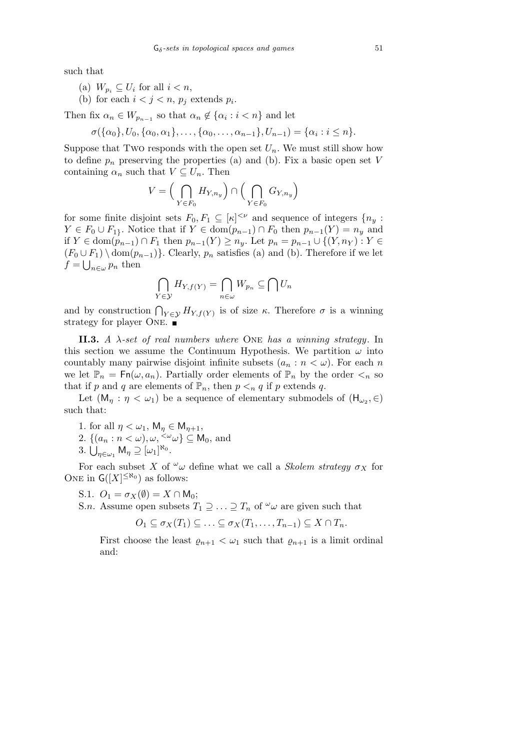such that

- (a)  $W_{p_i} \subseteq U_i$  for all  $i < n$ ,
- (b) for each  $i < j < n$ ,  $p_j$  extends  $p_i$ .

Then fix  $\alpha_n \in W_{p_{n-1}}$  so that  $\alpha_n \notin {\alpha_i : i < n}$  and let

$$
\sigma(\{\alpha_0\}, U_0, \{\alpha_0, \alpha_1\}, \ldots, \{\alpha_0, \ldots, \alpha_{n-1}\}, U_{n-1}) = \{\alpha_i : i \leq n\}.
$$

Suppose that Two responds with the open set  $U_n$ . We must still show how to define  $p_n$  preserving the properties (a) and (b). Fix a basic open set  $V$ containing  $\alpha_n$  such that  $V \subseteq U_n$ . Then

$$
V = \Big(\bigcap_{Y \in F_0} H_{Y,n_y}\Big) \cap \Big(\bigcap_{Y \in F_0} G_{Y,n_y}\Big)
$$

for some finite disjoint sets  $F_0, F_1 \subseteq [\kappa]^{<\nu}$  and sequence of integers  $\{n_y :$  $Y \in F_0 \cup F_1$ <sup>*}*</sup>. Notice that if  $Y \in \text{dom}(p_{n-1}) \cap F_0$  then  $p_{n-1}(Y) = n_y$  and if  $Y \in \text{dom}(p_{n-1}) \cap F_1$  then  $p_{n-1}(Y) \ge n_y$ . Let  $p_n = p_{n-1} \cup \{(Y, n_Y) : Y \in$  $(F_0 \cup F_1) \setminus \text{dom}(p_{n-1})$ . Clearly,  $p_n$  satisfies (a) and (b). Therefore if we let  $f = \bigcup_{n \in \omega} p_n$  then

$$
\bigcap_{Y\in\mathcal{Y}} H_{Y,f(Y)} = \bigcap_{n\in\omega} W_{p_n} \subseteq \bigcap U_n
$$

and by construction  $\bigcap_{Y \in \mathcal{Y}} H_{Y,f(Y)}$  is of size  $\kappa$ . Therefore  $\sigma$  is a winning strategy for player ONE.  $\blacksquare$ 

**II.3.** *A λ-set of real numbers where* One *has a winning strategy*. In this section we assume the Continuum Hypothesis. We partition  $\omega$  into countably many pairwise disjoint infinite subsets  $(a_n : n < \omega)$ . For each *n* we let  $\mathbb{P}_n = \mathsf{Fn}(\omega, a_n)$ . Partially order elements of  $\mathbb{P}_n$  by the order  $\lt_n$  so that if *p* and *q* are elements of  $\mathbb{P}_n$ , then  $p \leq_n q$  if *p* extends *q*.

Let  $(M_{\eta} : \eta < \omega_1)$  be a sequence of elementary submodels of  $(H_{\omega_2}, \in)$ such that:

- 1. for all  $\eta < \omega_1$ ,  $\mathsf{M}_{\eta} \in \mathsf{M}_{\eta+1}$ ,
- 2.  $\{(a_n : n < \omega), \omega, \langle \omega \rangle \subseteq \mathsf{M}_0, \text{ and}$
- 3.  $\bigcup_{\eta \in \omega_1} M_{\eta} \supseteq [\omega_1]^{\aleph_0}$ .

For each subset *X* of  $\omega$ *u* define what we call a *Skolem strategy*  $\sigma_X$  for ONE in  $G([X]^{\leq \aleph_0})$  as follows:

S.1.  $O_1 = \sigma_X(\emptyset) = X \cap M_0;$ 

S.*n*. Assume open subsets  $T_1 \supseteq \ldots \supseteq T_n$  of  $\omega$  are given such that

$$
O_1 \subseteq \sigma_X(T_1) \subseteq \ldots \subseteq \sigma_X(T_1, \ldots, T_{n-1}) \subseteq X \cap T_n.
$$

First choose the least  $\varrho_{n+1} < \omega_1$  such that  $\varrho_{n+1}$  is a limit ordinal and: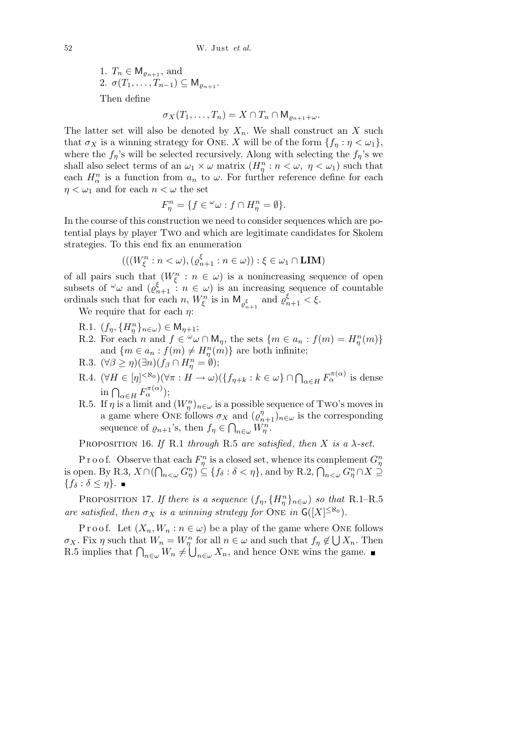1.  $T_n \in M_{\varrho_{n+1}}$ , and 2.  $\sigma(T_1, ..., T_{n-1}) \subseteq M_{\rho_{n+1}}$ . Then define

$$
\sigma_X(T_1,\ldots,T_n)=X\cap T_n\cap M_{\varrho_{n+1}+\omega}.
$$

The latter set will also be denoted by  $X_n$ . We shall construct an X such that  $\sigma_X$  is a winning strategy for ONE. *X* will be of the form  $\{f_\eta : \eta < \omega_1\}$ , where the  $f_n$ 's will be selected recursively. Along with selecting the  $f_n$ 's we shall also select terms of an  $\omega_1 \times \omega$  matrix  $(H_\eta^n : n < \omega, \eta < \omega_1)$  such that each  $H_{\alpha}^{n}$  is a function from  $a_{n}$  to  $\omega$ . For further reference define for each  $\eta < \omega_1$  and for each  $n < \omega$  the set

$$
F_{\eta}^{n} = \{ f \in {}^{\omega} \omega : f \cap H_{\eta}^{n} = \emptyset \}.
$$

In the course of this construction we need to consider sequences which are potential plays by player Two and which are legitimate candidates for Skolem strategies. To this end fix an enumeration

$$
(((W_{\xi}^{n}: n < \omega), (\varrho_{n+1}^{\xi}: n \in \omega)) : \xi \in \omega_1 \cap \text{LIM})
$$

of all pairs such that  $(W_{\xi}^n : n \in \omega)$  is a nonincreasing sequence of open subsets of  $\omega$  and  $(\varrho_{n+1}^{\xi})$  :  $n \in \omega$  is an increasing sequence of countable ordinals such that for each *n*,  $W_{\xi}^{n}$  is in  $M_{\varrho_{n+1}^{\xi}}$  and  $\varrho_{n+1}^{\xi} < \xi$ .

We require that for each *η*:

- $R.1.$   $(f_{\eta}, \{H_{\eta}^{n}\}_{n \in \omega}) \in M_{\eta+1};$
- R.2. For each *n* and  $f \in \omega \cap M_\eta$ , the sets  $\{m \in a_n : f(m) = H_\eta^n(m)\}\$ and  ${m \in a_n : f(m) \neq H_n^n(m)}$  are both infinite;
- $R.3. \ (\forall \beta \ge \eta)(\exists n)(f_{\beta} \cap H_{\eta}^{n} = \emptyset);$
- R.4.  $(\forall H \in [\eta]^{<\aleph_0})(\forall \pi : H \to \omega)(\{f_{\eta+k} : k \in \omega\} \cap \bigcap_{\alpha \in H} F_{\alpha}^{\pi(\alpha)}$  is dense  $\ln \bigcap_{\alpha \in H} F_{\alpha}^{\pi(\alpha)}$ ;
- R.5. If  $\eta$  is a limit and  $(W_{\eta}^n)_{n \in \omega}$  is a possible sequence of Two's moves in a game where ONE follows  $\sigma_X$  and  $(\rho_{n+1}^{\eta})_{n \in \omega}$  is the corresponding sequence of  $\varrho_{n+1}$ 's, then  $f_{\eta} \in \bigcap_{n \in \omega} W_{\eta}^n$ .

PROPOSITION 16. *If* R.1 *through* R.5 *are satisfied*, *then X is a*  $\lambda$ -set.

P r o o f. Observe that each  $F^n_\eta$  is a closed set, whence its complement  $G^n_\eta$ is open. By R.3,  $X \cap (\bigcap_{n<\omega} G^n_{\eta}) \subseteq \{f_{\delta} : \delta < \eta\}$ , and by R.2,  $\bigcap_{n<\omega} G^n_{\eta} \cap X \supseteq$ *{f<sup>δ</sup>* : *δ ≤ η}*.

PROPOSITION 17. *If there is a sequence*  $(f_{\eta}, \{H_{\eta}^n\}_{n \in \omega})$  *so that* R.1–R.5 *are satisfied, then*  $\sigma_X$  *is a winning strategy for* ONE *in*  $G([X]^{\leq \aleph_0})$ *.* 

Proof. Let  $(X_n, W_n : n \in \omega)$  be a play of the game where ONE follows *σ*<sub>*X*</sub>. Fix *η* such that  $W_n = W_n^n$  for all  $n \in \omega$  and such that  $f_n \notin$  $\mathcal{C}$  $\sigma_X$ . Fix  $\eta$  such that  $W_n = W_{\eta}^n$  for all  $n \in \omega$  and such that  $f_{\eta} \notin \bigcup X_n$ . Then R.5 implies that  $\bigcap_{n \in \omega} W_n \neq \bigcup_{n \in \omega} X_n$ , and hence ONE wins the game.  $\overline{?}$  $n \in \omega$  *X*<sup>*n*</sup>, and hence ONE wins the game.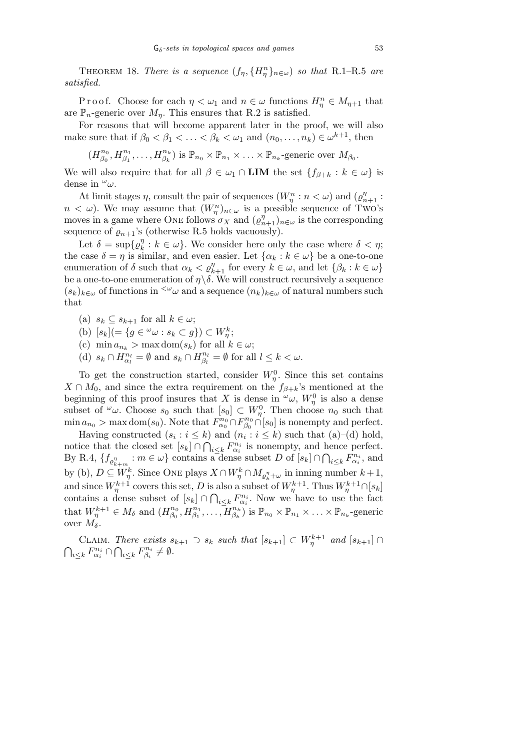**THEOREM** 18. *There is a sequence*  $(f_{\eta}, \{H_{\eta}^n\}_{n \in \omega})$  *so that* R.1–R.5 *are satisfied.*

Proof. Choose for each  $\eta < \omega_1$  and  $n \in \omega$  functions  $H^n_{\eta} \in M_{\eta+1}$  that are  $\mathbb{P}_n$ -generic over  $M_n$ . This ensures that R.2 is satisfied.

For reasons that will become apparent later in the proof, we will also make sure that if  $\beta_0 < \beta_1 < \ldots < \beta_k < \omega_1$  and  $(n_0, \ldots, n_k) \in \omega^{k+1}$ , then

$$
(H^{n_0}_{\beta_0}, H^{n_1}_{\beta_1}, \ldots, H^{n_k}_{\beta_k})
$$
 is  $\mathbb{P}_{n_0} \times \mathbb{P}_{n_1} \times \ldots \times \mathbb{P}_{n_k}$ -generic over  $M_{\beta_0}$ .

We will also require that for all  $\beta \in \omega_1 \cap \textbf{LIM}$  the set  $\{f_{\beta+k} : k \in \omega\}$  is dense in *<sup>ω</sup>ω*.

At limit stages  $\eta$ , consult the pair of sequences  $(W_{\eta}^n : n < \omega)$  and  $(\varrho_{n+1}^{\eta} : n \leq \omega)$  $n < \omega$ ). We may assume that  $(W_{\eta}^n)_{n \in \omega}$  is a possible sequence of Two's moves in a game where ONE follows  $\sigma_X$  and  $(\varrho_{n+1}^{\eta})_{n\in\omega}$  is the corresponding sequence of  $\varrho_{n+1}$ 's (otherwise R.5 holds vacuously).

Let  $\delta = \sup \{ \varrho_k^{\eta} \}$  $\binom{n}{k}$ :  $k \in \omega$ . We consider here only the case where  $\delta < \eta$ ; the case  $\delta = \eta$  is similar, and even easier. Let  $\{\alpha_k : k \in \omega\}$  be a one-to-one enumeration of  $\delta$  such that  $\alpha_k < \varrho_{k+1}^{\eta}$  for every  $k \in \omega$ , and let  $\{\beta_k : k \in \omega\}$ be a one-to-one enumeration of  $\eta \backslash \delta$ . We will construct recursively a sequence  $(s_k)_{k \in \omega}$  of functions in <sup> $\langle \omega} \omega$ </sup> and a sequence  $(n_k)_{k \in \omega}$  of natural numbers such that

- (a)  $s_k \subseteq s_{k+1}$  for all  $k \in \omega$ ;
- (b)  $[s_k] = \{ g \in \omega \omega : s_k \subset g \} \subset W^k_\eta;$
- (c)  $\min a_{n_k} > \max \text{dom}(s_k)$  for all  $k \in \omega$ ;
- (d)  $s_k \cap H_{\alpha_l}^{n_l} = \emptyset$  and  $s_k \cap H_{\beta_l}^{n_l}$  $\beta_l^{n_l} = \emptyset$  for all  $l \leq k < \omega$ .

To get the construction started, consider  $W_{\eta}^0$ . Since this set contains  $X \cap M_0$ , and since the extra requirement on the  $f_{\beta+k}$ 's mentioned at the beginning of this proof insures that *X* is dense in  $\omega_{\omega}$ ,  $W_{\eta}^{0}$  is also a dense subset of  $\omega$ . Choose  $s_0$  such that  $[s_0] \subset W_\eta^0$ . Then choose  $n_0$  such that  $\min a_{n_0} > \max \text{dom}(s_0)$ . Note that  $F_{\alpha_0}^{n_0} \cap F_{\beta_0}^{n_0}$  $\int_{\beta_0}^{n_0} \cap [s_0]$  is nonempty and perfect.

Having constructed  $(s_i : i \leq k)$  and  $(n_i : i \leq k)$  such that  $(a)$ – $(d)$  hold, notice that the closed set [*sk*] *∩*  $\tilde{\zeta}$  $i \leq k$   $F_{\alpha_i}^{n_i}$  is nonempty, and hence perfect.  $\text{By R.4, } \{f_{\varrho_{k+m}^{\eta}} : m \in \omega\} \text{ contains a dense subset } D \text{ of } [s_k] \cap$  $\tilde{ }$  $i \leq k$   $F_{\alpha_i}^{n_i}$ , and by (b),  $D \subseteq W_{\eta}^k$ . Since ONE plays  $X \cap W_{\eta}^k \cap M_{\varrho_k^n + \omega}$  in inning number  $k+1$ , and since  $W_{\eta}^{k+1}$  covers this set, *D* is also a subset of  $W_{\eta}^{k+1}$ . Thus  $W_{\eta}^{k+1} \cap [s_k]$ contains a dense subset of  $[s_k] \cap \bigcap_{i \leq k} F_{\alpha_i}^{n_i}$ . Now we have to use the fact that  $W_{\eta}^{k+1} \in M_{\delta}$  and  $(H_{\beta_0}^{n_0})$  $\overline{\beta_0^{\,n_0}}, H_{\beta_1}^{n_1}, \ldots, H_{\beta_k}^{n_k}$ ) is  $\mathbb{P}_{n_0} \times \mathbb{P}_{n_1} \times \ldots \times \mathbb{P}_{n_k}$ -generic over  $M_{\delta}$ .

CLAIM. *There exists*  $s_{k+1}$  ⊃  $s_k$  *such that*  $[s_{k+1}]$  ⊂  $W_{\eta}^{k+1}$  *and*  $[s_{k+1}]$  ∩  $\overline{a}$  $i \leq k$  *F*<sup>*n<sub>i</sub>*</sup></sub> *n n*<sub>*i*</sup> *S k F*<sup>*n<sub>i</sub>*</sup></sup> *n*<sup>*n<sub>i</sub>*</sup></sub>  $\beta_i^{n_i} \neq \emptyset$ .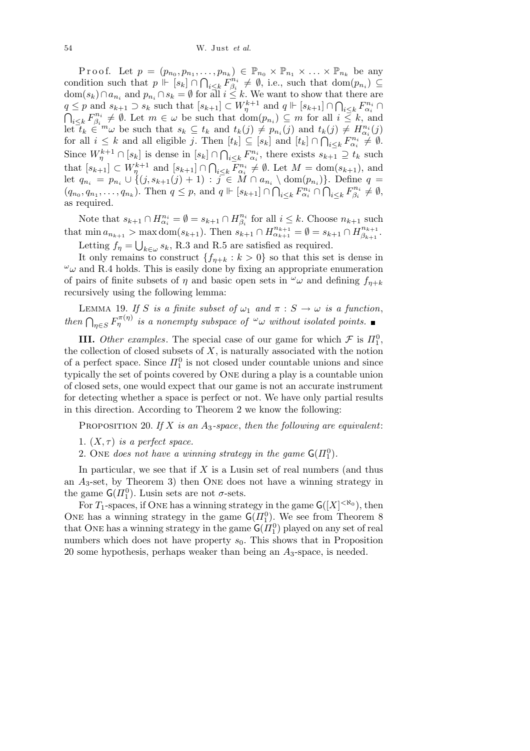Proof. Let  $p = (p_{n_0}, p_{n_1}, \ldots, p_{n_k}) \in \mathbb{P}_{n_0} \times \mathbb{P}_{n_1} \times \ldots \times \mathbb{P}_{n_k}$  be any condition such that  $p \Vdash [s_k] \cap \bigcap_{i \leq k} F_{\beta_i}^{n_i}$  $\beta_i^{n_i} \neq \emptyset$ , i.e., such that  $dom(p_{n_i}) \subseteq$  $dom(s_k) \cap a_{n_i}$  and  $p_{n_i} \cap s_k = \emptyset$  for all  $i \leq k$ . We want to show that there are  $q \leq p$  and  $s_{k+1} \supset s_k$  such that  $[s_{k+1}] \subset W_{\eta}^{k+1}$  and  $q \Vdash [s_{k+1}] \cap$ aı<br>∧  $q \leq p$  and  $s_{k+1} \supset s_k$  such that  $[s_{k+1}] \subset W_p^{k+1}$  and  $q \Vdash [s_{k+1}] \cap \bigcap_{i \leq k} F_{\alpha_i}^{n_i} \cap$ *i*≤*kF*<sub>*n*<sup>*n<sub>i</sub>*</sup></sup></sub>  $\phi_i^{n_i} \neq \emptyset$ . Let  $m \in \omega$  be such that  $dom(p_{n_i}) \subseteq m$  for all  $i \leq k$ , and let  $t_k \in \mathbb{R}^m$  be such that  $s_k \subseteq t_k$  and  $t_k(j) \neq p_{n_i}(j)$  and  $t_k(j) \neq H_{\alpha_i}^{n_i}(j)$ for all  $i \leq k$  and all eligible j. Then  $[t_k] \subseteq [s_k]$  and  $[t_k] \cap \bigcap_{i \leq k} F_{\alpha_i}^{n_i} \neq \emptyset$ . Since  $W_{\eta}^{k+1} \cap [s_k]$  is dense in  $[s_k] \cap$  $\overline{a}$  $i \leq k$   $F_{\alpha_i}^{n_i}$ , there exists  $s_{k+1} \supseteq t_k$  such that  $[s_{k+1}] \subset W_{\eta}^{k+1}$  and  $[s_{k+1}] \cap$  $\overline{\phantom{a}}$  $i \leq k$   $F_{\alpha_i}^{n_i} \neq \emptyset$ . Let  $M = \text{dom}(s_{k+1})$ , and let  $q_{n_i} = p_{n_i} \cup \{(j, s_{k+1}(j) + 1) : j \in M \cap a_{n_i} \setminus \text{dom}(p_{n_i})\}.$  Define  $q =$  $(q_{n_0}, q_{n_1}, \ldots, q_{n_k})$ . Then  $q \leq p$ , and  $q \Vdash [s_{k+1}] \cap \bigcap_{i \leq k} F_{\alpha_i}^{n_i} \cap \bigcap_{i \leq k} F_{\beta_i}^{n_i}$  $\beta_i^{n_i} \neq \emptyset$ , as required.

Note that  $s_{k+1} \cap H_{\alpha_i}^{n_i} = \emptyset = s_{k+1} \cap H_{\beta_i}^{n_i}$  $\beta_i^{n_i}$  for all  $i \leq k$ . Choose  $n_{k+1}$  such that  $\min a_{n_{k+1}} > \max \text{dom}(s_{k+1})$ . Then  $s_{k+1} \cap H_{\alpha_{k+1}}^{n_{k+1}} = \emptyset = s_{k+1} \cap H_{\beta_{k+1}}^{n_{k+1}}$  $\max \text{dom}(s_{k+1})$ . Then  $s_{k+1} \cap H_{\alpha_{k+1}}^{n_{k+1}} = \emptyset = s_{k+1} \cap H_{\beta_{k+1}}^{n_{k+1}}$ . Letting  $f_{\eta} = \bigcup_{k \in \omega} s_k$ , R.3 and R.5 are satisfied as required.

It only remains to construct  $\{f_{\eta+k} : k > 0\}$  so that this set is dense in  $\omega$  and R.4 holds. This is easily done by fixing an appropriate enumeration of pairs of finite subsets of  $\eta$  and basic open sets in  $\omega$  and defining  $f_{\eta+k}$ recursively using the following lemma:

LEMMA 19. *If S is a finite subset of*  $\omega_1$  *and*  $\pi : S \to \omega$  *is a function*, *then*  $\bigcap_{\eta \in S} F_{\eta}^{(\pi(\eta))}$  *is a nonempty subspace of*  $\omega_{\omega}$  *without isolated points.* 

**III.** *Other examples*. The special case of our game for which  $\mathcal{F}$  is  $\Pi_1^0$ , the collection of closed subsets of *X*, is naturally associated with the notion of a perfect space. Since  $\Pi_1^0$  is not closed under countable unions and since typically the set of points covered by One during a play is a countable union of closed sets, one would expect that our game is not an accurate instrument for detecting whether a space is perfect or not. We have only partial results in this direction. According to Theorem 2 we know the following:

Proposition 20. *If X is an A*3*-space*, *then the following are equivalent*:

- 1.  $(X, \tau)$  *is a perfect space.*
- 2. One *does not have a winning strategy in the game*  $G(\Pi_1^0)$ .

In particular, we see that if *X* is a Lusin set of real numbers (and thus an *A*3-set, by Theorem 3) then One does not have a winning strategy in the game  $\mathsf{G}(H_1^0)$ . Lusin sets are not  $\sigma$ -sets.

For  $T_1$ -spaces, if ONE has a winning strategy in the game  $G([X]^{<\aleph_0})$ , then ONE has a winning strategy in the game  $G(\Pi_1^0)$ . We see from Theorem 8 that ONE has a winning strategy in the game  $\mathsf{G}(H_1^0)$  played on any set of real numbers which does not have property  $s_0$ . This shows that in Proposition 20 some hypothesis, perhaps weaker than being an *A*3-space, is needed.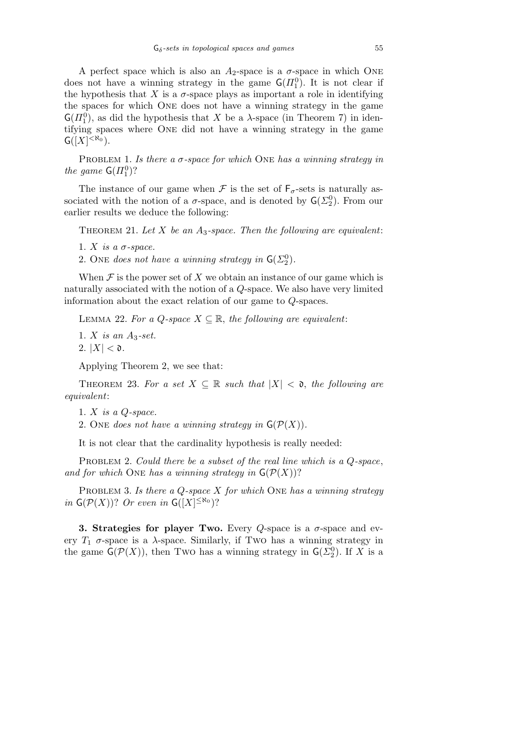A perfect space which is also an  $A_2$ -space is a  $\sigma$ -space in which ONE does not have a winning strategy in the game  $\mathsf{G}(H_1^0)$ . It is not clear if the hypothesis that  $X$  is a  $\sigma$ -space plays as important a role in identifying the spaces for which One does not have a winning strategy in the game  $\mathsf{G}(H_1^0)$ , as did the hypothesis that *X* be a *λ*-space (in Theorem 7) in identifying spaces where One did not have a winning strategy in the game  $G([X]^{<\aleph_0}).$ 

PROBLEM 1. *Is there a*  $\sigma$ -space for which ONE has a winning strategy in *the game*  $G(\Pi_1^0)$ ?

The instance of our game when  $\mathcal F$  is the set of  $\mathsf F_{\sigma}$ -sets is naturally associated with the notion of a  $\sigma$ -space, and is denoted by  $\mathsf{G}(\Sigma_2^0)$ . From our earlier results we deduce the following:

THEOREM 21. Let  $X$  be an  $A_3$ -space. Then the following are equivalent:

1.  $X$  *is a*  $\sigma$ *-space.* 

2. One *does not have a winning strategy in*  $G(\Sigma_2^0)$ .

When  $\mathcal F$  is the power set of  $X$  we obtain an instance of our game which is naturally associated with the notion of a *Q*-space. We also have very limited information about the exact relation of our game to *Q*-spaces.

LEMMA 22. For a *Q*-space  $X \subseteq \mathbb{R}$ , the following are equivalent:

1. *X is an A*3*-set.*

2.  $|X| < \mathfrak{d}$ .

Applying Theorem 2, we see that:

THEOREM 23. For a set  $X \subseteq \mathbb{R}$  such that  $|X| < \mathfrak{d}$ , the following are *equivalent*:

1. *X is a Q-space.*

2. One *does not have a winning strategy in*  $\mathsf{G}(\mathcal{P}(X))$ .

It is not clear that the cardinality hypothesis is really needed:

Problem 2. *Could there be a subset of the real line which is a Q-space*, and for which ONE has a winning strategy in  $\mathsf{G}(\mathcal{P}(X))$ ?

Problem 3. *Is there a Q-space X for which* One *has a winning strategy in*  $G(P(X))$ ? *Or even in*  $G([X]^{\leq \aleph_0})$ ?

**3. Strategies for player Two.** Every *Q*-space is a *σ*-space and every  $T_1$   $\sigma$ -space is a  $\lambda$ -space. Similarly, if Two has a winning strategy in the game  $\mathsf{G}(\mathcal{P}(X))$ , then Two has a winning strategy in  $\mathsf{G}(\Sigma_2^0)$ . If *X* is a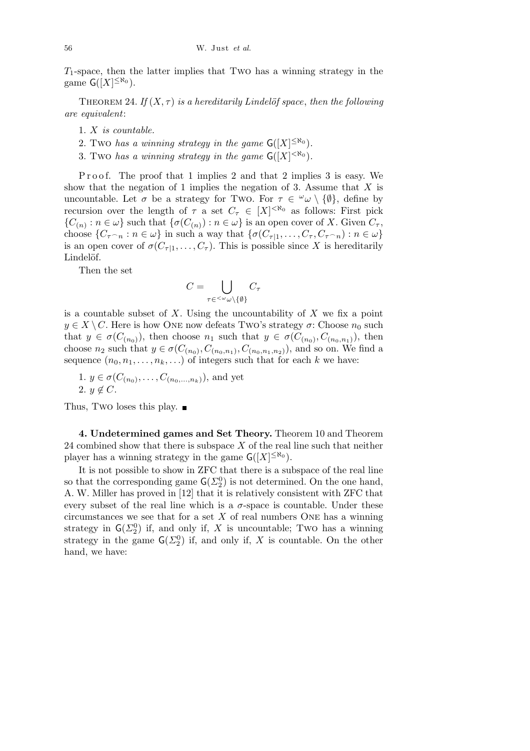*T*1-space, then the latter implies that Two has a winning strategy in the game  $G([X]^{\leq \aleph_0})$ .

THEOREM 24. If  $(X, \tau)$  is a hereditarily Lindelöf space, then the following *are equivalent*:

- 1. *X is countable.*
- 2. Two has a winning strategy in the game  $G([X]^{\leq \aleph_0})$ .
- 3. Two has a winning strategy in the game  $G([X]^{<\aleph_0})$ .

Proof. The proof that 1 implies 2 and that 2 implies 3 is easy. We show that the negation of 1 implies the negation of 3. Assume that *X* is uncountable. Let  $\sigma$  be a strategy for Two. For  $\tau \in \omega \setminus \{\emptyset\}$ , define by recursion over the length of  $\tau$  a set  $C_{\tau} \in [X]^{< \aleph_0}$  as follows: First pick  ${C(n) : n \in \omega}$  such that  ${\sigma(C(n)) : n \in \omega}$  is an open cover of *X*. Given  $C_{\tau}$ , choose  $\{C_{\tau\cap n}:n\in\omega\}$  in such a way that  $\{\sigma(C_{\tau|1},\ldots,C_{\tau},C_{\tau\cap n}):n\in\omega\}$ is an open cover of  $\sigma(C_{\tau|1}, \ldots, C_{\tau})$ . This is possible since *X* is hereditarily Lindelöf.

Then the set

$$
C = \bigcup_{\tau \in \langle \omega \cup \setminus \{\emptyset\}} C_{\tau}
$$

is a countable subset of *X*. Using the uncountability of *X* we fix a point  $y \in X \setminus C$ . Here is how ONE now defeats Two's strategy  $\sigma$ : Choose  $n_0$  such that  $y \in \sigma(C_{(n_0)})$ , then choose  $n_1$  such that  $y \in \sigma(C_{(n_0)}, C_{(n_0,n_1)})$ , then choose  $n_2$  such that  $y \in \sigma(C_{(n_0)}, C_{(n_0, n_1)}, C_{(n_0, n_1, n_2)})$ , and so on. We find a sequence  $(n_0, n_1, \ldots, n_k, \ldots)$  of integers such that for each *k* we have:

1.  $y \in \sigma(C_{(n_0)}, \ldots, C_{(n_0, \ldots, n_k)})$ , and yet 2.  $y \notin C$ .

Thus, Two loses this play.  $\blacksquare$ 

**4. Undetermined games and Set Theory.** Theorem 10 and Theorem 24 combined show that there is subspace *X* of the real line such that neither player has a winning strategy in the game  $G([X]^{\leq \aleph_0})$ .

It is not possible to show in ZFC that there is a subspace of the real line so that the corresponding game  $\mathsf{G}(\Sigma_2^0)$  is not determined. On the one hand, A. W. Miller has proved in [12] that it is relatively consistent with ZFC that every subset of the real line which is a  $\sigma$ -space is countable. Under these circumstances we see that for a set  $X$  of real numbers ONE has a winning strategy in  $\mathsf{G}(\Sigma_2^0)$  if, and only if, *X* is uncountable; Two has a winning strategy in the game  $\mathsf{G}(\Sigma_2^0)$  if, and only if, *X* is countable. On the other hand, we have: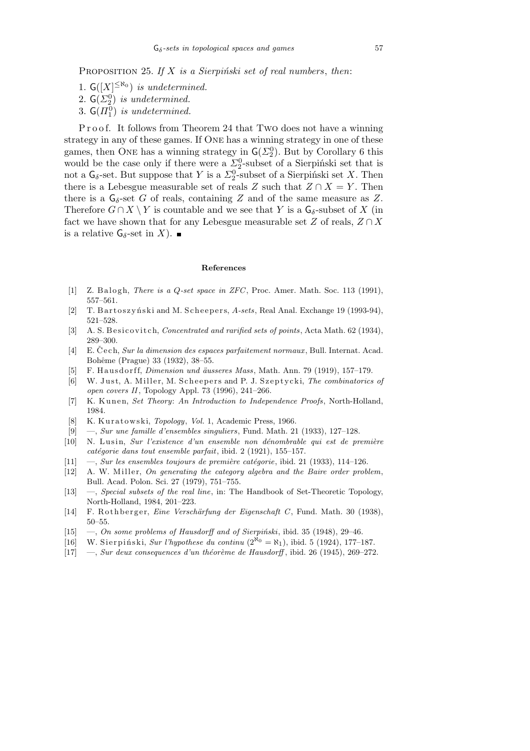- 1.  $G([X]^{\leq \aleph_0})$  *is undetermined.*
- 2.  $\mathsf{G}(\Sigma_2^0)$  *is undetermined.*
- 3.  $\mathsf{G}(H_1^0)$  *is undetermined.*

Proof. It follows from Theorem 24 that Two does not have a winning strategy in any of these games. If One has a winning strategy in one of these games, then ONE has a winning strategy in  $\mathsf{G}(\Sigma_2^0)$ . But by Corollary 6 this would be the case only if there were a  $\Sigma_2^0$ -subset of a Sierpinski set that is not a  $G_{\delta}$ -set. But suppose that *Y* is a  $\Sigma_2^0$ -subset of a Sierpiński set *X*. Then there is a Lebesgue measurable set of reals *Z* such that  $Z \cap X = Y$ . Then there is a  $G_{\delta}$ -set *G* of reals, containing *Z* and of the same measure as *Z*. Therefore  $G \cap X \setminus Y$  is countable and we see that Y is a  $\mathsf{G}_{\delta}$ -subset of X (in fact we have shown that for any Lebesgue measurable set  $Z$  of reals,  $Z \cap X$ is a relative  $G_{\delta}$ -set in *X*).

## **References**

- [1] Z. Balogh, *There is a Q-set space in ZFC*, Proc. Amer. Math. Soc. 113 (1991), 557–561.
- [2] T. B art oszyński and M. Scheepers, A-sets, Real Anal. Exchange 19 (1993-94), 521–528.
- [3] A. S. B e si covitch, *Concentrated and rarified sets of points*, Acta Math. 62 (1934), 289–300.
- [4] E. Čech, *Sur la dimension des espaces parfaitement normaux*, Bull. Internat. Acad. Bohême (Prague) 33 (1932), 38–55.
- [5] F. Hausdorff, *Dimension und äusseres Mass*, Math. Ann. 79 (1919), 157–179.
- [6] W. Just, A. Miller, M. Scheepers and P. J. Szeptycki, *The combinatorics of open covers II*, Topology Appl. 73 (1996), 241–266.
- [7] K. Kunen, *Set Theory: An Introduction to Independence Proofs*, North-Holland, 1984.
- [8] K. Kuratowski, *Topology*, *Vol.* 1, Academic Press, 1966.
- [9] —, *Sur une famille d'ensembles singuliers*, Fund. Math. 21 (1933), 127–128.
- [10] N. L u si n, *Sur l'existence d'un ensemble non d´enombrable qui est de premi`ere catégorie dans tout ensemble parfait*, ibid. 2 (1921), 155–157.
- [11]  $-$ , *Sur les ensembles toujours de première catégorie*, ibid. 21 (1933), 114–126.
- [12] A. W. Miller, *On generating the category algebra and the Baire order problem*, Bull. Acad. Polon. Sci. 27 (1979), 751–755.
- [13] —, *Special subsets of the real line*, in: The Handbook of Set-Theoretic Topology, North-Holland, 1984, 201–223.
- [14] F. Rothberger, *Eine Verschärfung der Eigenschaft C*, Fund. Math. 30 (1938), 50–55.
- [15] —, *On some problems of Hausdorff and of Sierpiński*, ibid. 35 (1948), 29–46.
- [16] W. Sierpiński, *Sur l'hypothese du continu*  $(2^{\tilde{R}_0} = R_1)$ , ibid. 5 (1924), 177–187.
- [17] —, *Sur deux consequences d'un théorème de Hausdorff*, ibid. 26 (1945), 269-272.